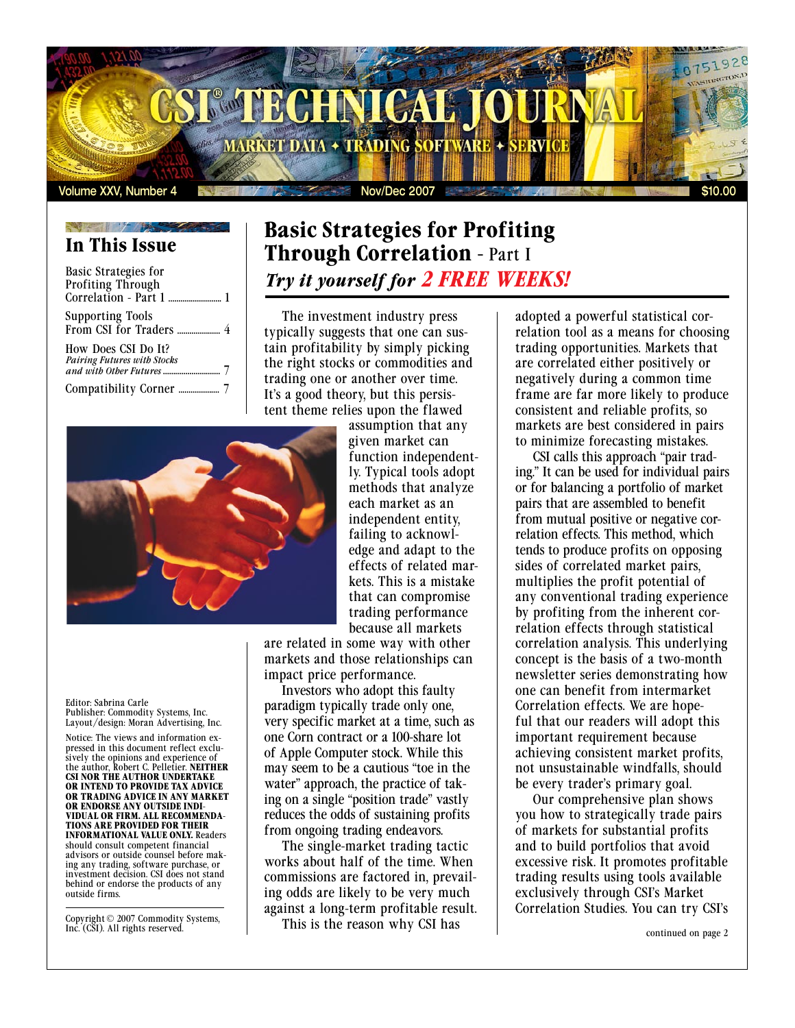

# **In This Issue**

| <b>Basic Strategies for</b><br>Profiting Through |  |
|--------------------------------------------------|--|
| <b>Supporting Tools</b>                          |  |
| How Does CSI Do It?                              |  |
|                                                  |  |

# **Basic Strategies for Profiting Through Correlation -** Part I *Try it yourself for 2 FREE WEEKS!*

The investment industry press typically suggests that one can sustain profitability by simply picking the right stocks or commodities and trading one or another over time. It's a good theory, but this persistent theme relies upon the flawed



assumption that any given market can function independently. Typical tools adopt methods that analyze each market as an independent entity, failing to acknowledge and adapt to the effects of related markets. This is a mistake that can compromise trading performance because all markets

are related in some way with other markets and those relationships can impact price performance.

Investors who adopt this faulty paradigm typically trade only one, very specific market at a time, such as one Corn contract or a 100-share lot of Apple Computer stock. While this may seem to be a cautious "toe in the water" approach, the practice of taking on a single "position trade" vastly reduces the odds of sustaining profits from ongoing trading endeavors.

The single-market trading tactic works about half of the time. When commissions are factored in, prevailing odds are likely to be very much against a long-term profitable result.

This is the reason why CSI has

adopted a powerful statistical correlation tool as a means for choosing trading opportunities. Markets that are correlated either positively or negatively during a common time frame are far more likely to produce consistent and reliable profits, so markets are best considered in pairs to minimize forecasting mistakes.

CSI calls this approach "pair trading." It can be used for individual pairs or for balancing a portfolio of market pairs that are assembled to benefit from mutual positive or negative correlation effects. This method, which tends to produce profits on opposing sides of correlated market pairs, multiplies the profit potential of any conventional trading experience by profiting from the inherent correlation effects through statistical correlation analysis. This underlying concept is the basis of a two-month newsletter series demonstrating how one can benefit from intermarket Correlation effects. We are hopeful that our readers will adopt this important requirement because achieving consistent market profits, not unsustainable windfalls, should be every trader's primary goal.

Our comprehensive plan shows you how to strategically trade pairs of markets for substantial profits and to build portfolios that avoid excessive risk. It promotes profitable trading results using tools available exclusively through CSI's Market Correlation Studies. You can try CSI's

Editor: Sabrina Carle Publisher: Commodity Systems, Inc. Layout/design: Moran Advertising, Inc.

Notice: The views and information expressed in this document reflect exclusively the opinions and experience of the author, Robert C. Pelletier. **NEITHER CSI NOR THE AUTHOR UNDERTAKE OR INTEND TO PROVIDE TAX ADVICE OR TRADING ADVICE IN ANY MARKET OR ENDORSE ANY OUTSIDE INDI-VIDUAL OR FIRM. ALL RECOMMENDA-TIONS ARE PROVIDED FOR THEIR INFORMATIONAL VALUE ONLY.** Readers should consult competent financial advisors or outside counsel before making any trading, software purchase, or investment decision. CSI does not stand behind or endorse the products of any outside firms.

Copyright © 2007 Commodity Systems, Inc. (CSI). All rights reserved.

continued on page 2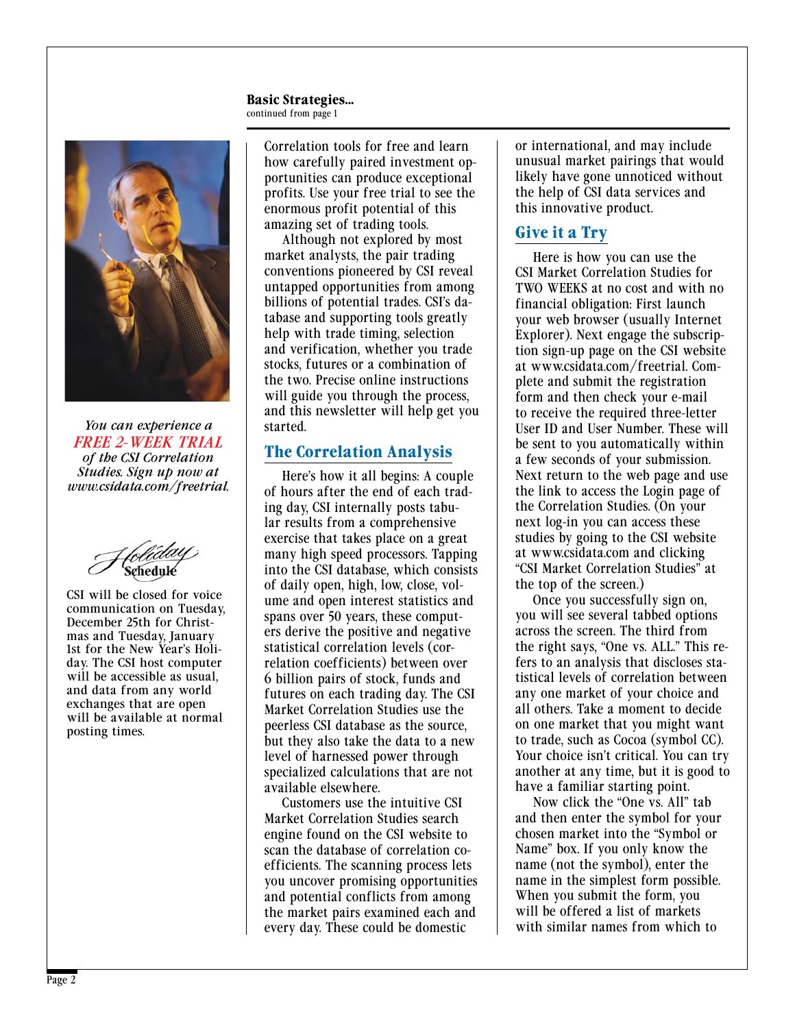#### **Basic Strategies...** continued from page 1



*You can experience a FREE 2-WEEK TRIAL of the CSI Correlation Studies. Sign up now at www.csidata.com/freetrial.*

CSI will be closed for voice communication on Tuesday, December 25th for Christmas and Tuesday, January 1st for the New Year's Holiday. The CSI host computer will be accessible as usual, and data from any world exchanges that are open will be available at normal posting times.

Correlation tools for free and learn how carefully paired investment opportunities can produce exceptional profits. Use your free trial to see the enormous profit potential of this amazing set of trading tools.

Although not explored by most market analysts, the pair trading conventions pioneered by CSI reveal untapped opportunities from among billions of potential trades. CSI's database and supporting tools greatly help with trade timing, selection and verification, whether you trade stocks, futures or a combination of the two. Precise online instructions will guide you through the process, and this newsletter will help get you started.

#### **The Correlation Analysis**

Here's how it all begins: A couple of hours after the end of each trading day, CSI internally posts tabular results from a comprehensive exercise that takes place on a great many high speed processors. Tapping into the CSI database, which consists of daily open, high, low, close, volume and open interest statistics and spans over 50 years, these computers derive the positive and negative statistical correlation levels (correlation coefficients) between over 6 billion pairs of stock, funds and futures on each trading day. The CSI Market Correlation Studies use the peerless CSI database as the source, but they also take the data to a new level of harnessed power through specialized calculations that are not available elsewhere.

Customers use the intuitive CSI Market Correlation Studies search engine found on the CSI website to scan the database of correlation coefficients. The scanning process lets you uncover promising opportunities and potential conflicts from among the market pairs examined each and every day. These could be domestic

or international, and may include unusual market pairings that would likely have gone unnoticed without the help of CSI data services and this innovative product.

### **Give it a Try**

Here is how you can use the CSI Market Correlation Studies for TWO WEEKS at no cost and with no financial obligation: First launch your web browser (usually Internet Explorer). Next engage the subscription sign-up page on the CSI website at www.csidata.com/freetrial. Complete and submit the registration form and then check your e-mail to receive the required three-letter User ID and User Number. These will be sent to you automatically within a few seconds of your submission. Next return to the web page and use the link to access the Login page of the Correlation Studies. (On your next log-in you can access these studies by going to the CSI website at www.csidata.com and clicking "CSI Market Correlation Studies" at the top of the screen.)

Once you successfully sign on, you will see several tabbed options across the screen. The third from the right says, "One vs. ALL." This refers to an analysis that discloses statistical levels of correlation between any one market of your choice and all others. Take a moment to decide on one market that you might want to trade, such as Cocoa (symbol CC). Your choice isn't critical. You can try another at any time, but it is good to have a familiar starting point.

Now click the "One vs. All" tab and then enter the symbol for your chosen market into the "Symbol or Name" box. If you only know the name (not the symbol), enter the name in the simplest form possible. When you submit the form, you will be offered a list of markets with similar names from which to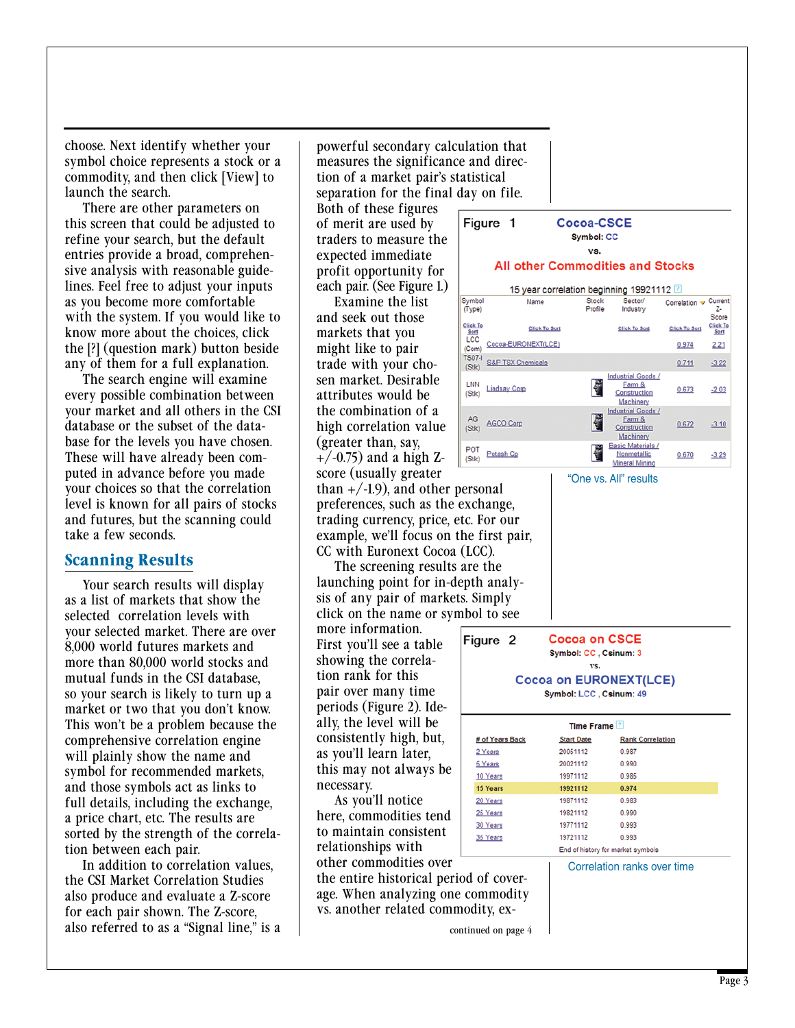choose. Next identify whether your symbol choice represents a stock or a commodity, and then click [View] to launch the search.

There are other parameters on this screen that could be adjusted to refine your search, but the default entries provide a broad, comprehensive analysis with reasonable guidelines. Feel free to adjust your inputs as you become more comfortable with the system. If you would like to know more about the choices, click the [?] (question mark) button beside any of them for a full explanation.

The search engine will examine every possible combination between your market and all others in the CSI database or the subset of the database for the levels you have chosen. These will have already been computed in advance before you made your choices so that the correlation level is known for all pairs of stocks and futures, but the scanning could take a few seconds.

#### **Scanning Results**

Your search results will display as a list of markets that show the selected correlation levels with your selected market. There are over 8,000 world futures markets and more than 80,000 world stocks and mutual funds in the CSI database, so your search is likely to turn up a market or two that you don't know. This won't be a problem because the comprehensive correlation engine will plainly show the name and symbol for recommended markets, and those symbols act as links to full details, including the exchange, a price chart, etc. The results are sorted by the strength of the correlation between each pair.

In addition to correlation values, the CSI Market Correlation Studies also produce and evaluate a Z-score for each pair shown. The Z-score, also referred to as a "Signal line," is a

powerful secondary calculation that measures the significance and direction of a market pair's statistical separation for the final day on file.

Figure 1

Both of these figures of merit are used by traders to measure the expected immediate profit opportunity for each pair. (See Figure 1.)

Examine the list and seek out those markets that you might like to pair trade with your chosen market. Desirable attributes would be the combination of a high correlation value (greater than, say,  $+/-0.75$ ) and a high Zscore (usually greater

than  $+/-1.9$ , and other personal preferences, such as the exchange, trading currency, price, etc. For our example, we'll focus on the first pair, CC with Euronext Cocoa (LCC).

The screening results are the launching point for in-depth analysis of any pair of markets. Simply click on the name or symbol to see

more information. First you'll see a table showing the correlation rank for this pair over many time periods (Figure 2). Ideally, the level will be consistently high, but, as you'll learn later, this may not always be necessary.

As you'll notice here, commodities tend to maintain consistent relationships with other commodities over

the entire historical period of coverage. When analyzing one commodity vs. another related commodity, ex-



vs.

#### **All other Commodities and Stocks**



"One vs. All" results

**Cocoa on CSCE** Figure<sub>2</sub> Symbol: CC. Csinum: 3 vs. **Cocoa on EURONEXT(LCE)** 

|  |  | Symbol: LCC, Csinum: 49 |  |
|--|--|-------------------------|--|
|--|--|-------------------------|--|

| Time Frame <sup>[2]</sup> |                   |                                   |  |  |
|---------------------------|-------------------|-----------------------------------|--|--|
| # of Years Back           | <b>Start Date</b> | <b>Rank Correlation</b>           |  |  |
| 2 Years                   | 20051112          | 0.987                             |  |  |
| 5 Years                   | 20021112          | 0.990                             |  |  |
| 10 Years                  | 19971112          | 0.985                             |  |  |
| 15 Years                  | 19921112          | 0.974                             |  |  |
| 20 Years                  | 19871112          | 0.983                             |  |  |
| 25 Years                  | 19821112          | 0.990                             |  |  |
| 30 Years                  | 19771112          | 0.993                             |  |  |
| 35 Years                  | 19721112          | 0.993                             |  |  |
|                           |                   | End of history for market symbols |  |  |

Correlation ranks over time

continued on page 4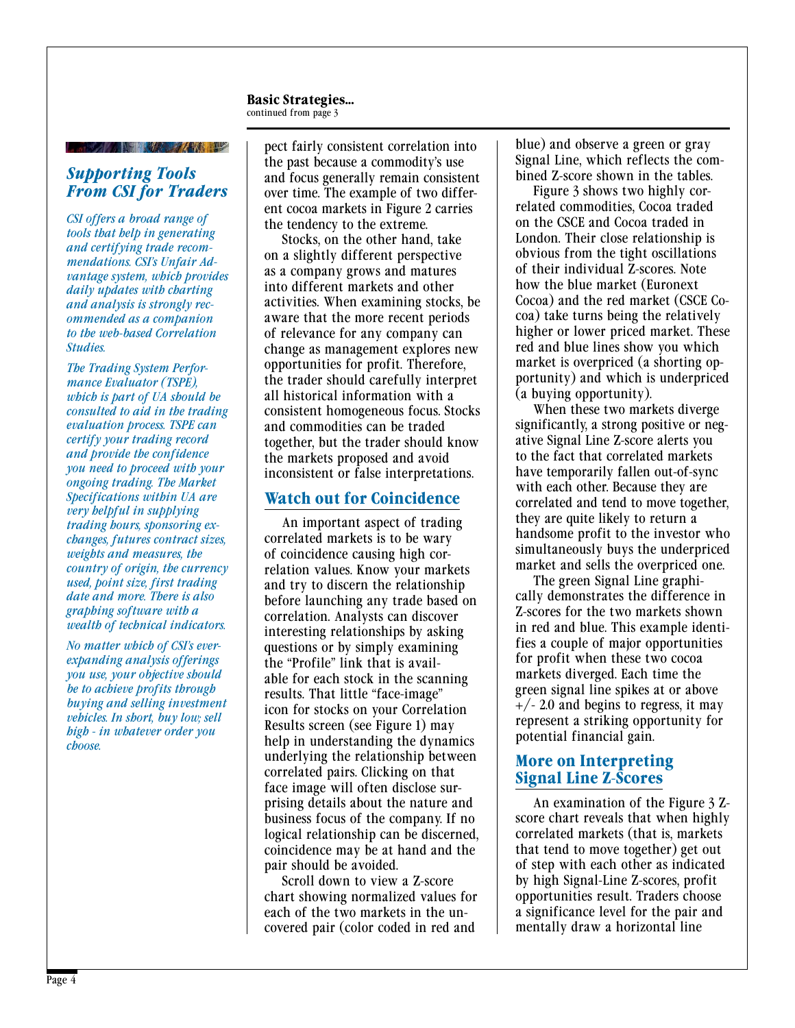**Basic Strategies...** continued from page 3

## **All the first that the contract of the contract of the contract of the contract of the contract of the contract of the contract of the contract of the contract of the contract of the contract of the contract of the contra**

#### *Supporting Tools From CSI for Traders*

*CSI offers a broad range of tools that help in generating and certifying trade recommendations. CSI's Unfair Advantage system, which provides daily updates with charting and analysis is strongly recommended as a companion to the web-based Correlation Studies.* 

*The Trading System Performance Evaluator (TSPE), which is part of UA should be consulted to aid in the trading evaluation process. TSPE can certify your trading record and provide the confidence you need to proceed with your ongoing trading. The Market Specifications within UA are very helpful in supplying trading hours, sponsoring exchanges, futures contract sizes, weights and measures, the country of origin, the currency used, point size, first trading date and more. There is also graphing software with a wealth of technical indicators.* 

*No matter which of CSI's everexpanding analysis offerings you use, your objective should be to achieve profits through buying and selling investment vehicles. In short, buy low; sell high - in whatever order you choose.* 

pect fairly consistent correlation into the past because a commodity's use and focus generally remain consistent over time. The example of two different cocoa markets in Figure 2 carries the tendency to the extreme.

Stocks, on the other hand, take on a slightly different perspective as a company grows and matures into different markets and other activities. When examining stocks, be aware that the more recent periods of relevance for any company can change as management explores new opportunities for profit. Therefore, the trader should carefully interpret all historical information with a consistent homogeneous focus. Stocks and commodities can be traded together, but the trader should know the markets proposed and avoid inconsistent or false interpretations.

#### **Watch out for Coincidence**

An important aspect of trading correlated markets is to be wary of coincidence causing high correlation values. Know your markets and try to discern the relationship before launching any trade based on correlation. Analysts can discover interesting relationships by asking questions or by simply examining the "Profile" link that is available for each stock in the scanning results. That little "face-image" icon for stocks on your Correlation Results screen (see Figure 1) may help in understanding the dynamics underlying the relationship between correlated pairs. Clicking on that face image will often disclose surprising details about the nature and business focus of the company. If no logical relationship can be discerned, coincidence may be at hand and the pair should be avoided.

Scroll down to view a Z-score chart showing normalized values for each of the two markets in the uncovered pair (color coded in red and

blue) and observe a green or gray Signal Line, which reflects the combined Z-score shown in the tables.

Figure 3 shows two highly correlated commodities, Cocoa traded on the CSCE and Cocoa traded in London. Their close relationship is obvious from the tight oscillations of their individual Z-scores. Note how the blue market (Euronext Cocoa) and the red market (CSCE Cocoa) take turns being the relatively higher or lower priced market. These red and blue lines show you which market is overpriced (a shorting opportunity) and which is underpriced (a buying opportunity).

When these two markets diverge significantly, a strong positive or negative Signal Line Z-score alerts you to the fact that correlated markets have temporarily fallen out-of-sync with each other. Because they are correlated and tend to move together, they are quite likely to return a handsome profit to the investor who simultaneously buys the underpriced market and sells the overpriced one.

The green Signal Line graphically demonstrates the difference in Z-scores for the two markets shown in red and blue. This example identifies a couple of major opportunities for profit when these two cocoa markets diverged. Each time the green signal line spikes at or above  $+/- 2.0$  and begins to regress, it may represent a striking opportunity for potential financial gain.

#### **More on Interpreting Signal Line Z-Scores**

An examination of the Figure 3 Zscore chart reveals that when highly correlated markets (that is, markets that tend to move together) get out of step with each other as indicated by high Signal-Line Z-scores, profit opportunities result. Traders choose a significance level for the pair and mentally draw a horizontal line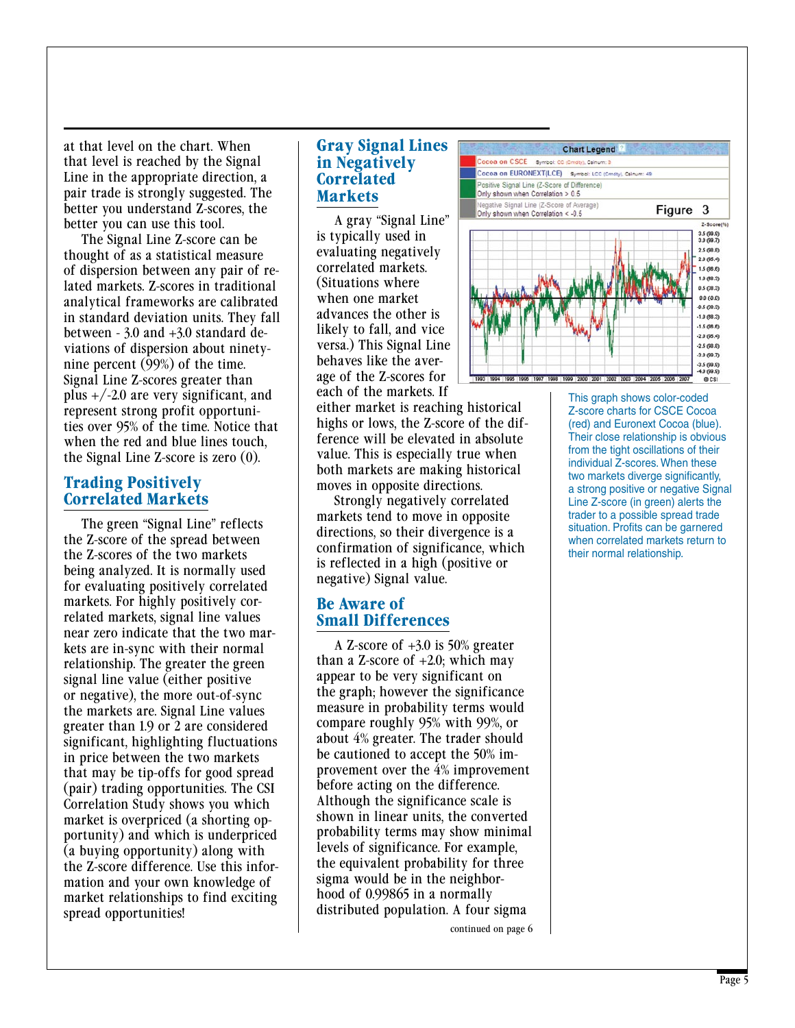at that level on the chart. When that level is reached by the Signal Line in the appropriate direction, a pair trade is strongly suggested. The better you understand Z-scores, the better you can use this tool.

The Signal Line Z-score can be thought of as a statistical measure of dispersion between any pair of related markets. Z-scores in traditional analytical frameworks are calibrated in standard deviation units. They fall between - 3.0 and +3.0 standard deviations of dispersion about ninetynine percent (99%) of the time. Signal Line Z-scores greater than plus  $+/-2.0$  are very significant, and represent strong profit opportunities over 95% of the time. Notice that when the red and blue lines touch, the Signal Line Z-score is zero (0).

#### **Trading Positively Correlated Markets**

The green "Signal Line" reflects the Z-score of the spread between the Z-scores of the two markets being analyzed. It is normally used for evaluating positively correlated markets. For highly positively correlated markets, signal line values near zero indicate that the two markets are in-sync with their normal relationship. The greater the green signal line value (either positive or negative), the more out-of-sync the markets are. Signal Line values greater than 1.9 or 2 are considered significant, highlighting fluctuations in price between the two markets that may be tip-offs for good spread (pair) trading opportunities. The CSI Correlation Study shows you which market is overpriced (a shorting opportunity) and which is underpriced (a buying opportunity) along with the Z-score difference. Use this information and your own knowledge of market relationships to find exciting spread opportunities!

#### **Gray Signal Lines in Negatively Correlated Markets**

A gray "Signal Line" is typically used in evaluating negatively correlated markets. (Situations where when one market advances the other is likely to fall, and vice versa.) This Signal Line behaves like the average of the Z-scores for each of the markets. If

either market is reaching historical highs or lows, the Z-score of the difference will be elevated in absolute value. This is especially true when both markets are making historical moves in opposite directions.

Strongly negatively correlated markets tend to move in opposite directions, so their divergence is a confirmation of significance, which is reflected in a high (positive or negative) Signal value.

#### **Be Aware of Small Differences**

A Z-score of +3.0 is 50% greater than a Z-score of  $+2.0$ ; which may appear to be very significant on the graph; however the significance measure in probability terms would compare roughly 95% with 99%, or about 4% greater. The trader should be cautioned to accept the 50% improvement over the 4% improvement before acting on the difference. Although the significance scale is shown in linear units, the converted probability terms may show minimal levels of significance. For example, the equivalent probability for three sigma would be in the neighborhood of 0.99865 in a normally distributed population. A four sigma





This graph shows color-coded Z-score charts for CSCE Cocoa (red) and Euronext Cocoa (blue). Their close relationship is obvious from the tight oscillations of their individual Z-scores. When these two markets diverge significantly, a strong positive or negative Signal Line Z-score (in green) alerts the trader to a possible spread trade situation. Profits can be garnered when correlated markets return to their normal relationship.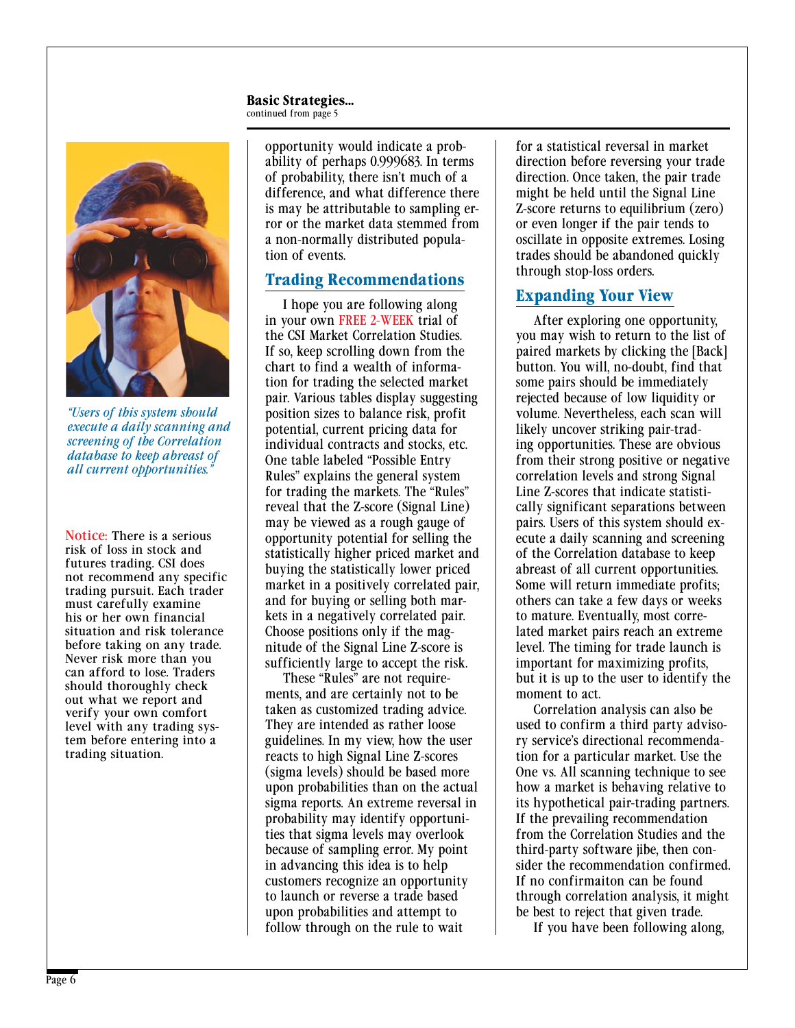#### **Basic Strategies...** continued from page 5



*"Users of this system should execute a daily scanning and screening of the Correlation database to keep abreast of all current opportunities."*

Notice: There is a serious risk of loss in stock and futures trading. CSI does not recommend any specific trading pursuit. Each trader must carefully examine his or her own financial situation and risk tolerance before taking on any trade. Never risk more than you can afford to lose. Traders should thoroughly check out what we report and verify your own comfort level with any trading system before entering into a trading situation.

opportunity would indicate a probability of perhaps 0.999683. In terms of probability, there isn't much of a difference, and what difference there is may be attributable to sampling error or the market data stemmed from a non-normally distributed population of events.

#### **Trading Recommendations**

I hope you are following along in your own FREE 2-WEEK trial of the CSI Market Correlation Studies. If so, keep scrolling down from the chart to find a wealth of information for trading the selected market pair. Various tables display suggesting position sizes to balance risk, profit potential, current pricing data for individual contracts and stocks, etc. One table labeled "Possible Entry Rules" explains the general system for trading the markets. The "Rules" reveal that the Z-score (Signal Line) may be viewed as a rough gauge of opportunity potential for selling the statistically higher priced market and buying the statistically lower priced market in a positively correlated pair, and for buying or selling both markets in a negatively correlated pair. Choose positions only if the magnitude of the Signal Line Z-score is sufficiently large to accept the risk.

These "Rules" are not requirements, and are certainly not to be taken as customized trading advice. They are intended as rather loose guidelines. In my view, how the user reacts to high Signal Line Z-scores (sigma levels) should be based more upon probabilities than on the actual sigma reports. An extreme reversal in probability may identify opportunities that sigma levels may overlook because of sampling error. My point in advancing this idea is to help customers recognize an opportunity to launch or reverse a trade based upon probabilities and attempt to follow through on the rule to wait

for a statistical reversal in market direction before reversing your trade direction. Once taken, the pair trade might be held until the Signal Line Z-score returns to equilibrium (zero) or even longer if the pair tends to oscillate in opposite extremes. Losing trades should be abandoned quickly through stop-loss orders.

#### **Expanding Your View**

After exploring one opportunity, you may wish to return to the list of paired markets by clicking the [Back] button. You will, no-doubt, find that some pairs should be immediately rejected because of low liquidity or volume. Nevertheless, each scan will likely uncover striking pair-trading opportunities. These are obvious from their strong positive or negative correlation levels and strong Signal Line Z-scores that indicate statistically significant separations between pairs. Users of this system should execute a daily scanning and screening of the Correlation database to keep abreast of all current opportunities. Some will return immediate profits; others can take a few days or weeks to mature. Eventually, most correlated market pairs reach an extreme level. The timing for trade launch is important for maximizing profits, but it is up to the user to identify the moment to act.

Correlation analysis can also be used to confirm a third party advisory service's directional recommendation for a particular market. Use the One vs. All scanning technique to see how a market is behaving relative to its hypothetical pair-trading partners. If the prevailing recommendation from the Correlation Studies and the third-party software jibe, then consider the recommendation confirmed. If no confirmaiton can be found through correlation analysis, it might be best to reject that given trade.

If you have been following along,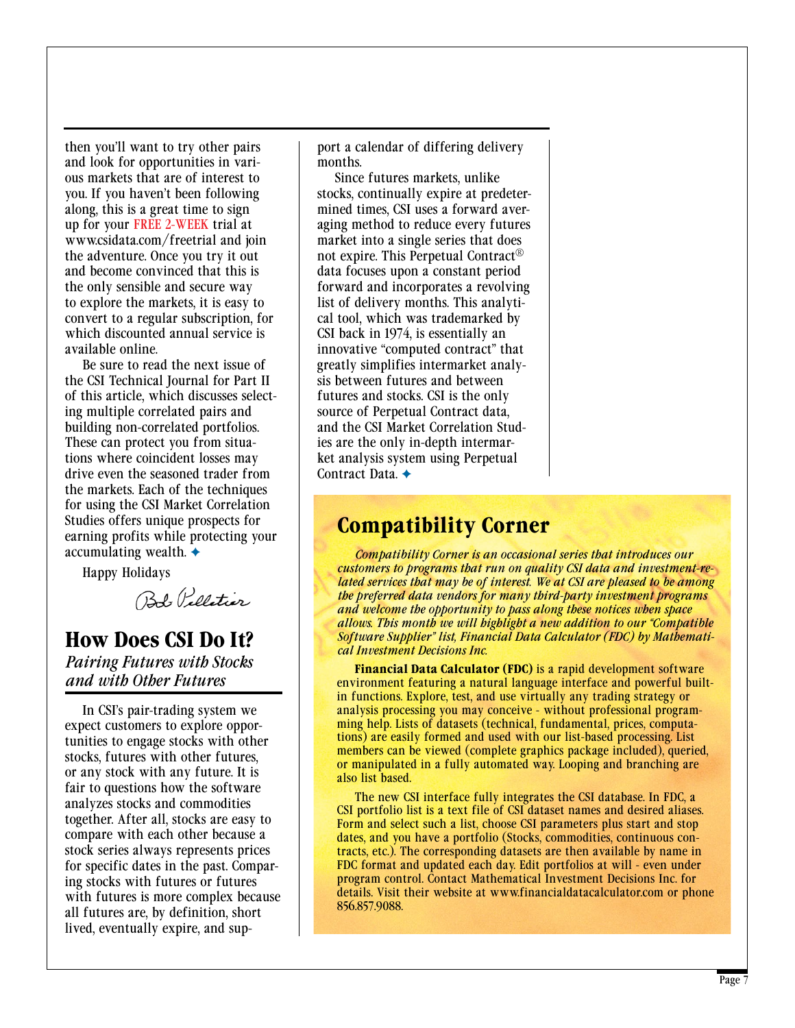then you'll want to try other pairs and look for opportunities in various markets that are of interest to you. If you haven't been following along, this is a great time to sign up for your FREE 2-WEEK trial at www.csidata.com/freetrial and join the adventure. Once you try it out and become convinced that this is the only sensible and secure way to explore the markets, it is easy to convert to a regular subscription, for which discounted annual service is available online.

Be sure to read the next issue of the CSI Technical Journal for Part II of this article, which discusses selecting multiple correlated pairs and building non-correlated portfolios. These can protect you from situations where coincident losses may drive even the seasoned trader from the markets. Each of the techniques for using the CSI Market Correlation Studies offers unique prospects for earning profits while protecting your accumulating wealth.  $\triangleleft$ 

Happy Holidays

Bob Pelletier

# **How Does CSI Do It?**

*Pairing Futures with Stocks and with Other Futures*

In CSI's pair-trading system we expect customers to explore opportunities to engage stocks with other stocks, futures with other futures, or any stock with any future. It is fair to questions how the software analyzes stocks and commodities together. After all, stocks are easy to compare with each other because a stock series always represents prices for specific dates in the past. Comparing stocks with futures or futures with futures is more complex because all futures are, by definition, short lived, eventually expire, and support a calendar of differing delivery months.

Since futures markets, unlike stocks, continually expire at predetermined times, CSI uses a forward averaging method to reduce every futures market into a single series that does not expire. This Perpetual Contract® data focuses upon a constant period forward and incorporates a revolving list of delivery months. This analytical tool, which was trademarked by CSI back in 1974, is essentially an innovative "computed contract" that greatly simplifies intermarket analysis between futures and between futures and stocks. CSI is the only source of Perpetual Contract data, and the CSI Market Correlation Studies are the only in-depth intermarket analysis system using Perpetual Contract Data.  $\triangleleft$ 

# **Compatibility Corner**

*Compatibility Corner is an occasional series that introduces our customers to programs that run on quality CSI data and investment-related services that may be of interest. We at CSI are pleased to be among the preferred data vendors for many third-party investment programs and welcome the opportunity to pass along these notices when space allows. This month we will highlight a new addition to our "Compatible Software Supplier" list, Financial Data Calculator (FDC) by Mathematical Investment Decisions Inc.*

**Financial Data Calculator (FDC)** is a rapid development software environment featuring a natural language interface and powerful builtin functions. Explore, test, and use virtually any trading strategy or analysis processing you may conceive - without professional programming help. Lists of datasets (technical, fundamental, prices, computations) are easily formed and used with our list-based processing. List members can be viewed (complete graphics package included), queried, or manipulated in a fully automated way. Looping and branching are also list based.

The new CSI interface fully integrates the CSI database. In FDC, a CSI portfolio list is a text file of CSI dataset names and desired aliases. Form and select such a list, choose CSI parameters plus start and stop dates, and you have a portfolio (Stocks, commodities, continuous contracts, etc.). The corresponding datasets are then available by name in FDC format and updated each day. Edit portfolios at will - even under program control. Contact Mathematical Investment Decisions Inc. for details. Visit their website at www.financialdatacalculator.com or phone 856.857.9088.